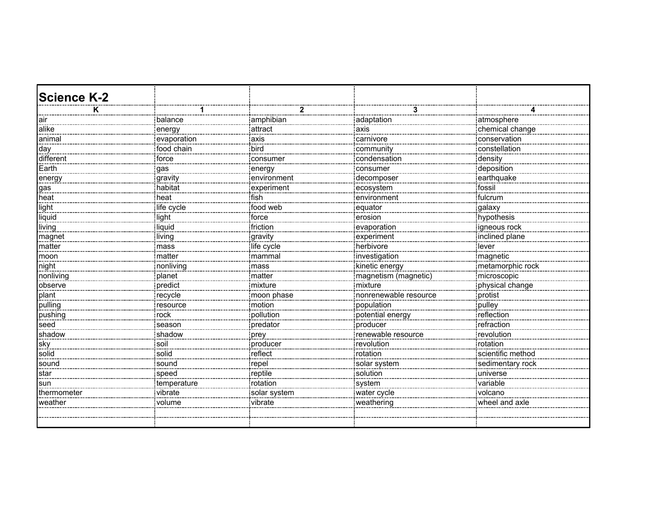| <b>Science K-2</b> |             |              |                       |                   |
|--------------------|-------------|--------------|-----------------------|-------------------|
|                    |             |              | 3                     |                   |
| air                | balance     | amphibian    | adaptation            | atmosphere        |
| alike              | energy      | attract      | axis                  | chemical change   |
| <br>animal         | evaporation | axis         | carnivore             | conservation      |
| day                | food chain  | bird         | community             | constellation     |
| different          | force       | consumer     | condensation          | density           |
| Earth              | gas         | energy       | consumer              | deposition        |
| energy             | gravity     | environment  | decomposer            | earthquake        |
| gas                | habitat     | experiment   | ecosystem             | fossil            |
| heat               | heat!       | ifish<br>.   | environment           | fulcrum           |
| light              | life cycle  | food web     | equator               | <u>galaxy</u>     |
| liquid             | light       | force        | erosion               | hypothesis        |
| living             | liquid      | friction     | evaporation <u>:</u>  | igneous rock      |
| magnet             | living      | gravity      | experiment            | inclined plane    |
| matter             | mass        | life cycle   | herbivore             | lever             |
| moon               | matter      | mammal<br>   | investigation         | magnetic          |
| night              | nonliving   | mass         | kinetic energy        | metamorphic rock  |
| nonliving          | planet      | matter       | magnetism (magnetic)  | microscopic       |
| observe            | predict     | mixture      | mixture               | physical change   |
| plant              | recycle     | moon phase   | nonrenewable resource | protist           |
| pulling            | resource    | motion       | population            | pulley            |
| pushing            | rock        | pollution    | potential energy      | reflection        |
| seed               | season      | predator     | :<br>producer         | refraction        |
| shadow             | shadow      | prey         |                       | revolution        |
| sky                | soil        | producer     | revolution            | rotation          |
| solid              | solid       | reflect      | rotation              | scientific method |
| sound              | sound       | repel        | solar system          | sedimentary rock  |
| star               | speed       | reptile      | solution              | universe          |
| sun                | temperature | rotation     | system                | variable          |
| thermometer        | vibrate     | solar system | water cycle           | volcano           |
| weather            | volume      | vibrate      | weathering            | wheel and axle    |
|                    |             |              |                       |                   |
|                    |             |              |                       |                   |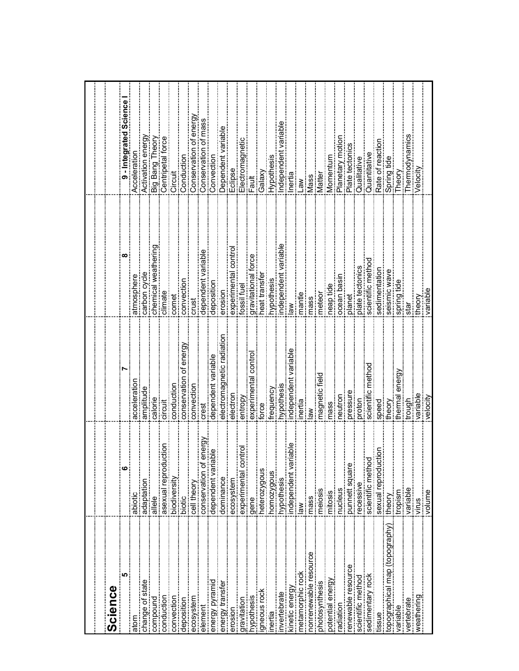| Science                            |                                                        |                          |                           |                           |
|------------------------------------|--------------------------------------------------------|--------------------------|---------------------------|---------------------------|
| $\overline{5}$                     | $\begin{array}{c}\n\bullet \\ \bullet\n\end{array}$    |                          | œ                         | Science<br>9 - Integrated |
| atom                               | abiotic<br>abiotic                                     | acceleration             | atmosphere                | Acceleration              |
| change of state                    | adaptation                                             | amplitude                | carbon cycle              | Activation energy         |
| compound                           | allele                                                 | calorie                  | neri<br>F<br>hemical weat | Big Bang Theory           |
| conduction                         | iora<br>L                                              | circuit                  | $s$ limate                | Centripetal force         |
| convection                         | asexual reprodu<br>indiversity<br>indiversity          | conduction               | comet                     | Circuit                   |
| deposition                         | biotic                                                 | energ<br>conservation of | convection                | Conduction                |
|                                    | cell theory                                            | convection               | crust                     | energy<br>Conservation of |
| element                            | energy<br>conservation of                              | crest                    | labl<br>dependent var     | Conservation of mass      |
| energy pyramid                     | able<br>dependent vari                                 | dependent variable       | deposition                | Convection                |
| energy transfer<br>energy transfer | dominance                                              | electromagnetic radia    | erosion                   | Jependent variab          |
| erosion                            | ecosystem                                              | electron                 | experimental              | Eclipse                   |
| qravitation                        | experimental contro                                    | entropy                  | fossil fuel               | Electromagneti            |
| <b>ypothesis</b>                   | gene                                                   | experimental contro      | pravitational force       | Fault                     |
| gneous rock                        | heterozygous                                           | force                    | eat transfe               | Galax                     |
| nertia                             | homozygous                                             | requency                 | ypothesis                 | Hypothesi                 |
| nvertebrate                        | hypothesis                                             | rypothesis               | ndependent                | ndependent                |
| kinetic energy                     | riable<br>independent va                               | ndependent variabl       | శ                         | nertia                    |
| metamorphic rock                   | $\frac{8}{10}$                                         | nerta                    | nantle                    | $\mathsf{w}$              |
| nonrenewable resource              | mass                                                   | ≷                        | nass                      | Vlass                     |
| photosynthesis                     | meiosis                                                | magnetic field           | neteor                    | Vlatter                   |
| potential energy                   | mitosis                                                | mass                     | neap tide                 | Momentu                   |
| adiation                           | nucleus                                                | neutron                  | ocean basin               | Planetary motio           |
| renewable resource                 | punnett square                                         | pressure                 | planet                    | Plate tectonics           |
| scientific method                  | recessive                                              | proton                   | plate tectonics           | Qualitative               |
| sedimentary rock                   |                                                        | scientific methc         | scientific metho          | Quantitativ               |
| tissue                             |                                                        | speed                    | sedimentatio              | Rate of reacti            |
| topographical map (topography)     | scientific method<br>  sexual reproduction<br>  theory | theory                   | seismic way               | Spring tide               |
| variable                           | mopism                                                 | thermal energy           | spring tide               | Theory                    |
| vertebrate                         |                                                        | trough                   | star                      | Thermodynam               |
| weathering<br>weathering           | snuk                                                   | variable                 | theory                    | elocit'                   |
|                                    | volume                                                 | velocity                 | variable                  |                           |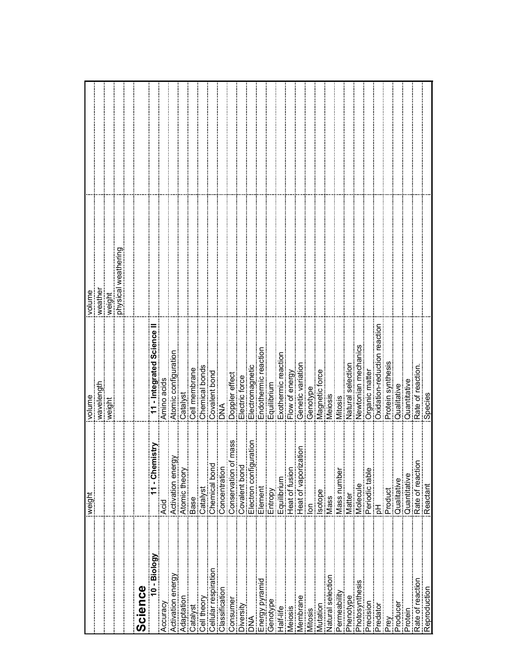|                                                                                                                                           |                                                                   | volume                       | ivolume             |  |
|-------------------------------------------------------------------------------------------------------------------------------------------|-------------------------------------------------------------------|------------------------------|---------------------|--|
|                                                                                                                                           |                                                                   | wavelength                   | weather             |  |
|                                                                                                                                           |                                                                   | weight                       | weight              |  |
|                                                                                                                                           |                                                                   |                              | physical weathering |  |
|                                                                                                                                           |                                                                   |                              |                     |  |
| Science                                                                                                                                   |                                                                   |                              |                     |  |
| $10 - Biology$                                                                                                                            | nistry<br>$\frac{1}{ {\mathsf A}\cup{\mathsf C}}$ . Chemi<br>Rold | - Integrated Science II      |                     |  |
| Accuracy                                                                                                                                  |                                                                   | Amino acids                  |                     |  |
| Activation energy                                                                                                                         | Activation energy                                                 | Atomic configuration         |                     |  |
|                                                                                                                                           | Atomic theory                                                     | Catalyst                     |                     |  |
| Catalyst                                                                                                                                  | <b>Base</b>                                                       | Cell membrane                |                     |  |
| Cell theory                                                                                                                               | Catalyst<br>Catalyst                                              | Chemical bonds               |                     |  |
|                                                                                                                                           |                                                                   | Covalent bond                |                     |  |
|                                                                                                                                           | connectional<br>Concentration<br>Concentration                    | <b>MA</b>                    |                     |  |
| Consumer                                                                                                                                  | of mass                                                           | Doppler effect               |                     |  |
| Diversity<br>DNA<br>Energy pyramid<br>Energy pyramid                                                                                      | Conservation of<br>Covalent bond<br>Covalent bond                 | Electric force               |                     |  |
|                                                                                                                                           | uration<br>Electron config                                        | Electromagnetic              |                     |  |
|                                                                                                                                           | Element                                                           | Endothermic reaction         |                     |  |
|                                                                                                                                           |                                                                   | Equilibrium                  |                     |  |
| Ī                                                                                                                                         | Entropy<br>Equilibrium                                            | Exothermic reaction          |                     |  |
| Vleiosis                                                                                                                                  | Heat of fusion                                                    | Flow of energy               |                     |  |
|                                                                                                                                           | Heat of vaporization<br>  lon<br>  lon                            | Genetic variation            |                     |  |
| Mitosis                                                                                                                                   |                                                                   | Genotype                     |                     |  |
| Mutation                                                                                                                                  | sotope<br><sub>start</sub>                                        | Magnetic force               |                     |  |
|                                                                                                                                           | $\frac{1}{2}$ Mass                                                | Meiosis                      |                     |  |
|                                                                                                                                           | Mass number                                                       | Mitosis                      |                     |  |
| Phenotype                                                                                                                                 | <b>Matter</b>                                                     | Natural selection            |                     |  |
|                                                                                                                                           | Molecule                                                          | Newtonian mechanics          |                     |  |
| <u>sen</u><br>11. marramentum mengantum pada 1970-1970 menyerahatkan pada tahun 1970-1970 menyerahatkan pada tahun 1970-1970<br>Precision | Periodic table<br> <br> pH                                        | Organic matter               |                     |  |
| Predator                                                                                                                                  |                                                                   | Oxidation-reduction reaction |                     |  |
| Prey                                                                                                                                      | Product                                                           | Protein synthesis            |                     |  |
| ļ<br>.<br>Producer                                                                                                                        |                                                                   | Qualitative                  |                     |  |
| Protein                                                                                                                                   | EQualitative<br>EQuantitative                                     | Quantitative                 |                     |  |
| Rate of reaction                                                                                                                          | Rate of reaction<br>Reactant                                      | Rate of reaction.<br>Species |                     |  |
| Reproduction                                                                                                                              |                                                                   |                              |                     |  |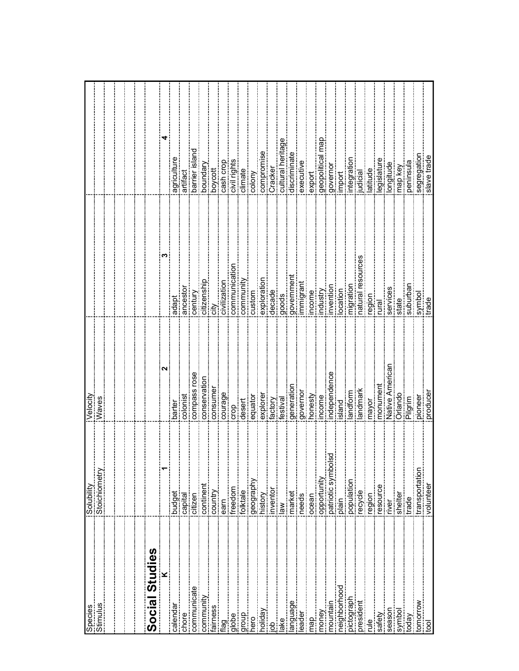| Species<br>Stimulus<br>Stimulus | Solubility<br>Stoichiometry  | Velocity<br>Waves                                          |                                                                               |                                                            |
|---------------------------------|------------------------------|------------------------------------------------------------|-------------------------------------------------------------------------------|------------------------------------------------------------|
|                                 |                              |                                                            |                                                                               |                                                            |
|                                 |                              |                                                            |                                                                               |                                                            |
|                                 |                              |                                                            |                                                                               |                                                            |
|                                 |                              |                                                            |                                                                               |                                                            |
| Social Studies                  |                              |                                                            |                                                                               |                                                            |
|                                 |                              | $\overline{\mathbf{C}}$                                    | ო                                                                             | 4                                                          |
| calendar                        | budget                       | barter                                                     | adapt                                                                         | agriculture                                                |
| chore                           | capital                      | colonist                                                   |                                                                               | artifact                                                   |
| communicate                     | citizen                      | compass rose                                               | ancestor<br>century                                                           | barrier island                                             |
| community                       | continent                    | conservation                                               | citizenship                                                                   |                                                            |
| airness                         | country                      | consumer                                                   | city.                                                                         | boundary<br>boycott                                        |
| flag                            |                              | courage                                                    |                                                                               |                                                            |
| globe<br>                       | iearn<br>freedom             | $\frac{1}{2}$                                              | icivilization<br>communication<br>communication                               | icash crop<br>icivil rights                                |
| lgroup<br>hero                  | folktale                     | desert                                                     | $\begin{tabular}{ c c } \hline community \\ \hline \hline \end{tabular}$      |                                                            |
|                                 |                              |                                                            |                                                                               |                                                            |
| vepilor                         | igeography<br>Inistory       |                                                            | exploration                                                                   |                                                            |
| 8                               | inventor                     |                                                            |                                                                               | iclimate<br> colony<br> compromise<br> Cracker<br> Cracker |
| ake                             | $\geqslant$                  | jequator<br>jexplorer<br>jexplorer<br>jestival<br>jestival | decade<br>goods                                                               | cultural heritage                                          |
| anguage                         | market                       | generator                                                  |                                                                               | discriminate                                               |
| leader                          | needs<br>                    |                                                            | igovernment<br>immigrant                                                      |                                                            |
| map                             | ocean                        | igovernor<br>ihonesty                                      |                                                                               | jexecutive<br>jexport                                      |
|                                 | opportunity                  | income                                                     | income<br>industry<br>invention<br>invention<br>inigration<br>inatural resour | geopolitica                                                |
| money<br>mountain               | <u>sd</u><br>patriotic symbo | independence                                               |                                                                               |                                                            |
| neighborhood                    | nieig                        | island                                                     |                                                                               | igovernor<br>import                                        |
| pictograph                      |                              |                                                            |                                                                               | ntegration                                                 |
| president                       | population<br>recycle        | landform<br>Tandmark                                       |                                                                               | judicial                                                   |
| $\frac{1}{2}$                   | region                       | mayor                                                      | region                                                                        | atitude                                                    |
| safety                          | resource                     | monument                                                   | Tural                                                                         | legislature                                                |
| season                          | river                        |                                                            | services                                                                      |                                                            |
| symbol                          | shelter                      | Native American<br> Orlando<br> Orlando                    | state                                                                         | longitude<br>map key                                       |
| Vepot                           | trade                        | Pilgrim<br>-                                               | nequrpan                                                                      | peninsula                                                  |
| tomorrow<br>tool                | transportation<br>volunteer  | ipioneer<br>producer                                       |                                                                               | segregation<br>siave trade                                 |
|                                 |                              |                                                            | symbol<br>trade                                                               |                                                            |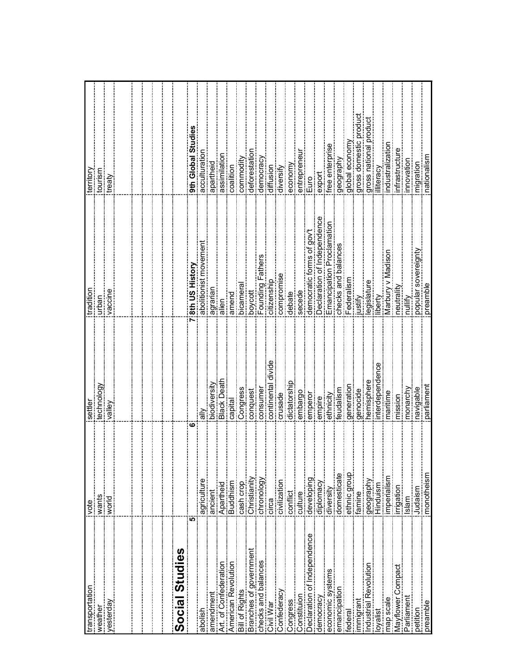| transportation                                                                                                                                                                                                                                                                                                                                                                                                                                                                                                         | <u>vote</u>                                                                                        | settle            | tradition                   | territory             |
|------------------------------------------------------------------------------------------------------------------------------------------------------------------------------------------------------------------------------------------------------------------------------------------------------------------------------------------------------------------------------------------------------------------------------------------------------------------------------------------------------------------------|----------------------------------------------------------------------------------------------------|-------------------|-----------------------------|-----------------------|
| weather                                                                                                                                                                                                                                                                                                                                                                                                                                                                                                                | iwants                                                                                             | technology        | urban                       | tourism               |
| yesterday                                                                                                                                                                                                                                                                                                                                                                                                                                                                                                              | $\frac{1}{2}$ world                                                                                | valley            | vaccine                     | treaty                |
|                                                                                                                                                                                                                                                                                                                                                                                                                                                                                                                        |                                                                                                    |                   |                             |                       |
|                                                                                                                                                                                                                                                                                                                                                                                                                                                                                                                        |                                                                                                    |                   |                             |                       |
|                                                                                                                                                                                                                                                                                                                                                                                                                                                                                                                        |                                                                                                    |                   |                             |                       |
| $\label{def:3} \begin{minipage}{0.9\textwidth} \begin{minipage}{0.9\textwidth} \begin{itemize} \textbf{0.9\textwidth} \begin{itemize} \textbf{0.9\textwidth} \begin{itemize} \textbf{0.9\textwidth} \begin{itemize} \textbf{0.9\textwidth} \begin{itemize} \textbf{0.9\textwidth} \begin{itemize} \textbf{0.9\textwidth} \begin{itemize} \textbf{0.9\textwidth} \begin{itemize} \textbf{0.9\textwidth} \begin{itemize} \textbf{0.9\textwidth} \begin{itemize} \textbf{0.9\textwidth} \begin{itemize} \textbf{0.9\text$ |                                                                                                    |                   |                             |                       |
|                                                                                                                                                                                                                                                                                                                                                                                                                                                                                                                        |                                                                                                    |                   |                             |                       |
| <b>Social Studies</b>                                                                                                                                                                                                                                                                                                                                                                                                                                                                                                  |                                                                                                    |                   |                             |                       |
| ຸທ                                                                                                                                                                                                                                                                                                                                                                                                                                                                                                                     | ဖ                                                                                                  |                   | 8th US History              | 9th Global Studies    |
| abolish                                                                                                                                                                                                                                                                                                                                                                                                                                                                                                                | agriculture<br>agriculture                                                                         | $\frac{2}{3}$     | abolitionist move           | acculturation         |
|                                                                                                                                                                                                                                                                                                                                                                                                                                                                                                                        |                                                                                                    | biodiversity      | ueue.ne                     | apartheid             |
|                                                                                                                                                                                                                                                                                                                                                                                                                                                                                                                        |                                                                                                    | <b>Black Deat</b> | alien                       | assimilation          |
| amendment<br> Art. of Confederation<br> American Revolution                                                                                                                                                                                                                                                                                                                                                                                                                                                            | jancient<br>Apartheid<br>Buddhism<br>Esash crop<br>Cash crop                                       | capital           | amend                       | coalition             |
| <b>Bill of Rights</b>                                                                                                                                                                                                                                                                                                                                                                                                                                                                                                  |                                                                                                    | Congress          | bicamera                    | commodity             |
| economistic of government<br>Branches of government                                                                                                                                                                                                                                                                                                                                                                                                                                                                    |                                                                                                    | conquest          | boycott                     | deforestation         |
|                                                                                                                                                                                                                                                                                                                                                                                                                                                                                                                        | Christianity<br>Lettronology<br>Lettronology                                                       | consumer          | Founding Fathers            | democracy             |
| checks and balances<br>Civil War                                                                                                                                                                                                                                                                                                                                                                                                                                                                                       | circa                                                                                              | continental divid | citizenship                 | diffusion             |
| Confederacy<br>Congress<br>Congress<br>Constituion                                                                                                                                                                                                                                                                                                                                                                                                                                                                     |                                                                                                    | crusade           | compromise                  | diversify             |
|                                                                                                                                                                                                                                                                                                                                                                                                                                                                                                                        |                                                                                                    | dictatorshi       | debate                      | economy               |
|                                                                                                                                                                                                                                                                                                                                                                                                                                                                                                                        |                                                                                                    | embargo           | secede                      | entrepreneu           |
| Declaration of Independence                                                                                                                                                                                                                                                                                                                                                                                                                                                                                            | ioivilization<br>ioanflict<br>iouhure<br>idiplomacy<br>iolomesticate<br>iomesticate<br>iomesticate | emperor           | democratic forms of gov     | Euro                  |
| democracy                                                                                                                                                                                                                                                                                                                                                                                                                                                                                                              |                                                                                                    | empire            | Declaration of Independence | export                |
| economic systems                                                                                                                                                                                                                                                                                                                                                                                                                                                                                                       |                                                                                                    | ethnicity         | Emancipation Proclamation   | ree enterprise        |
| emancipation                                                                                                                                                                                                                                                                                                                                                                                                                                                                                                           |                                                                                                    | <b>Feudalism</b>  | checks and balances         | geography             |
| federal                                                                                                                                                                                                                                                                                                                                                                                                                                                                                                                |                                                                                                    | generation        | ederalism                   | global economy        |
| limmigrant<br> -                                                                                                                                                                                                                                                                                                                                                                                                                                                                                                       |                                                                                                    | genocide          | ustify                      | gross domestic produc |
| industrial Revolution                                                                                                                                                                                                                                                                                                                                                                                                                                                                                                  | famine<br>Igeography<br>I Hinduism                                                                 | nemisphere        | egislature                  | gross national produc |
| oyalist                                                                                                                                                                                                                                                                                                                                                                                                                                                                                                                |                                                                                                    | nterdepende       | iberty                      | literacy              |
|                                                                                                                                                                                                                                                                                                                                                                                                                                                                                                                        | imperialism                                                                                        | naritime          | Marbury v Madisor           | dustralizatio         |
| map scale<br>"Mayflower Compact"                                                                                                                                                                                                                                                                                                                                                                                                                                                                                       | irrigation                                                                                         | mission           | neutrality                  | <b>nfrastructu</b>    |
| Parliament                                                                                                                                                                                                                                                                                                                                                                                                                                                                                                             | Islam                                                                                              | monarchy          | nullify                     | nnovatior             |
| petition<br>preamble<br>preamble                                                                                                                                                                                                                                                                                                                                                                                                                                                                                       |                                                                                                    | avigable          | popular sovereignty         | migratior             |
|                                                                                                                                                                                                                                                                                                                                                                                                                                                                                                                        |                                                                                                    | parliamen         | preamble                    | nationalisr           |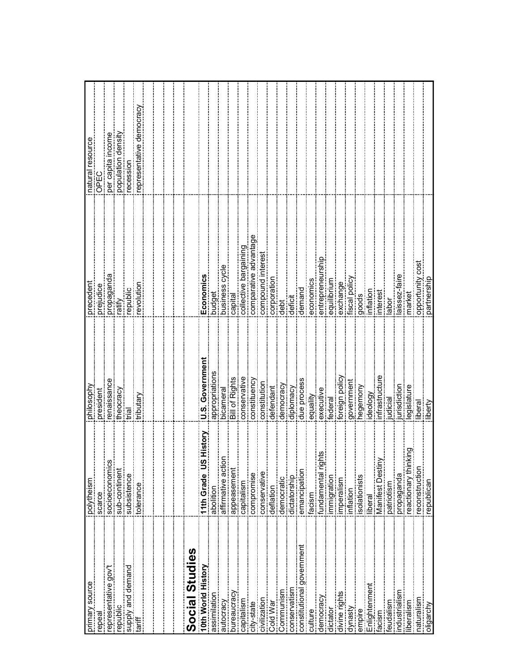|                                                                                                                                                                                                                                                                     |                                                                                                                            | philosophy            | precedent             | natural resource        |
|---------------------------------------------------------------------------------------------------------------------------------------------------------------------------------------------------------------------------------------------------------------------|----------------------------------------------------------------------------------------------------------------------------|-----------------------|-----------------------|-------------------------|
|                                                                                                                                                                                                                                                                     |                                                                                                                            | president             | prejudice             | $rac{C}{C}$             |
|                                                                                                                                                                                                                                                                     | w                                                                                                                          | enaissance            | propaganda            | income<br>per capita i  |
|                                                                                                                                                                                                                                                                     |                                                                                                                            | theocracy             | <u>Mite</u> i         | population density      |
| exuasissans<br>control of the property of the property of the property of the property of the property of the property of the<br>control of the property of the property of the property of the property of the property of the prop<br>supply and demand<br>tariff |                                                                                                                            | irial                 | epublic               | ecession                |
|                                                                                                                                                                                                                                                                     | tolerance                                                                                                                  | tributary             | evolution             | epresentative democracy |
|                                                                                                                                                                                                                                                                     |                                                                                                                            |                       |                       |                         |
|                                                                                                                                                                                                                                                                     |                                                                                                                            |                       |                       |                         |
|                                                                                                                                                                                                                                                                     |                                                                                                                            |                       |                       |                         |
|                                                                                                                                                                                                                                                                     |                                                                                                                            |                       |                       |                         |
| <b>Social Studies</b><br>10th World History                                                                                                                                                                                                                         |                                                                                                                            |                       |                       |                         |
|                                                                                                                                                                                                                                                                     | S History                                                                                                                  | U.S. Government       | Economics             |                         |
| assimilation                                                                                                                                                                                                                                                        | 11th Grade US<br> abolition<br> affirmative action                                                                         | appropriations        | <b>budget</b>         |                         |
| autocracy                                                                                                                                                                                                                                                           | į<br>g                                                                                                                     | bicameral             | pusiness cycle        |                         |
| bureaucracy                                                                                                                                                                                                                                                         | appeasement                                                                                                                | Bill of Rights        | capital               |                         |
| capitalism                                                                                                                                                                                                                                                          | icapitalism<br>icompromise<br>iconservative<br>ideflation<br>ideflatorship<br>idetatorship<br>idetatorship<br>idetatorship | conservative          | collective bargaining |                         |
| city-state                                                                                                                                                                                                                                                          |                                                                                                                            | constituency          | comparative advantage |                         |
| civilization                                                                                                                                                                                                                                                        |                                                                                                                            | constitution          | compound interest     |                         |
| Cold War                                                                                                                                                                                                                                                            |                                                                                                                            | defendant             | corporation           |                         |
| Communism                                                                                                                                                                                                                                                           |                                                                                                                            | democracy             | debt                  |                         |
| conservatism                                                                                                                                                                                                                                                        |                                                                                                                            | diplomacy             | deficit               |                         |
| constitutional government                                                                                                                                                                                                                                           | emancipation                                                                                                               | due process           | demand                |                         |
| culture                                                                                                                                                                                                                                                             | facism                                                                                                                     | equality              | economics             |                         |
|                                                                                                                                                                                                                                                                     | ahts<br>fundamental rig                                                                                                    |                       | entrepreneurship      |                         |
| dictator                                                                                                                                                                                                                                                            | mmigration                                                                                                                 | jexecutive<br>federal | equilibrium           |                         |
| divine rights<br>divine rights                                                                                                                                                                                                                                      | mperalism                                                                                                                  | foreign policy        | exchange              |                         |
| dynasty                                                                                                                                                                                                                                                             | inflation                                                                                                                  | government            | iscal policy          |                         |
| empire                                                                                                                                                                                                                                                              | solationists                                                                                                               | hegemony              | goods                 |                         |
| Enlightenment<br>Enlightenment                                                                                                                                                                                                                                      | iberal                                                                                                                     | deology               | nflation              |                         |
| msioe;                                                                                                                                                                                                                                                              | ≧<br>ina<br>Manifest Destii                                                                                                | infrastructur         | interest              |                         |
| Ī<br>feudalism                                                                                                                                                                                                                                                      |                                                                                                                            | udicial               | abor                  |                         |
| Ī<br>industrialism                                                                                                                                                                                                                                                  | jpatriotism<br>propaganda<br>reactionary thin<br>reactionary thin                                                          | urisdiction           | aissez-faire          |                         |
| iberalism                                                                                                                                                                                                                                                           | king<br>                                                                                                                   | legislature           | narket                |                         |
|                                                                                                                                                                                                                                                                     | ireconstruction<br>irepublican                                                                                             | liberal               | opportunity cost      |                         |
|                                                                                                                                                                                                                                                                     |                                                                                                                            | liberty               | partnership           |                         |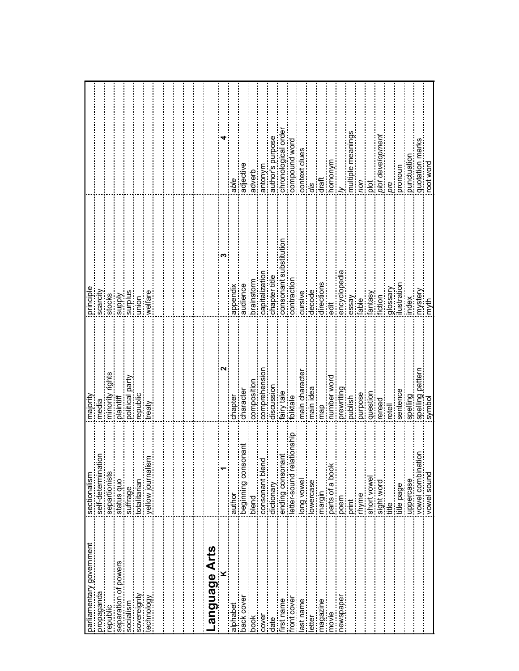|                                        |                                                                         | majority              |               |                              |
|----------------------------------------|-------------------------------------------------------------------------|-----------------------|---------------|------------------------------|
| parliamentary government<br>propaganda | δŪ<br>isectionalism<br>iself-determinatic                               | media                 | scarcity      |                              |
| republic                               |                                                                         | ights                 | stocks        |                              |
| separation of powers                   | separtionists<br> status quo<br> suffrage                               | minority<br>plaintiff | <b>Ajddns</b> |                              |
| socialism                              |                                                                         | political party       | surplus       |                              |
| sovereignty                            | totalitarian                                                            | republic              | union         |                              |
| technology                             | yellow journalism                                                       |                       | welfare       |                              |
|                                        |                                                                         |                       |               |                              |
|                                        |                                                                         |                       |               |                              |
|                                        |                                                                         |                       |               |                              |
|                                        |                                                                         |                       |               |                              |
|                                        |                                                                         |                       |               |                              |
| anguage Arts                           |                                                                         |                       | S             |                              |
| alphabet<br>alphabet                   | author                                                                  | chapter               | appendix      | able                         |
| back cover                             |                                                                         | character             | audience      | adjective                    |
| š<br>Š                                 | beginning consonan<br>blend                                             | composition           | orainstorm    | adverb                       |
| cover                                  | consonant blend                                                         | comprehensio          | capitalizatio | antonym                      |
| date                                   | dictionary                                                              | discussion            | chapter title | author's purpose             |
| irst name                              | ending consonant                                                        | fairy tale            | consonant su  | chronological order          |
| front cover                            | ationship<br>etter-sound rela                                           | folktale              | contraction   | compound word                |
|                                        | long vowel                                                              | main character        | cursive       | context clues                |
| last name<br>letter                    | owercase                                                                | nain idea             | decode        | dis                          |
|                                        | margin                                                                  | map                   | directions    | draft                        |
| movie                                  | parts of a book                                                         | number word           | ä             | homonym                      |
|                                        | poem                                                                    | prewriting            | encyclopedia  |                              |
|                                        | print                                                                   |                       | essay         | multiple meanings            |
|                                        | rhyme                                                                   | purpose               | fable         | non                          |
|                                        | short vowel                                                             | question              | fantasy       | plot                         |
|                                        | sight word                                                              | reread                | fiction       | plot developmer<br>pre       |
|                                        | .<br>≣                                                                  | retell                | glossar       |                              |
| $\frac{1}{2}$                          | title page                                                              | sentence              | lustration    | pronoun                      |
|                                        |                                                                         | spelling              | index         | punctuation                  |
|                                        | ξ!<br> uppercase<br> ivowel combinati<br> ivowel sound<br> ivowel sound | spelling pattern      | imystery      | quotation marks<br>root word |
|                                        |                                                                         | symbol                | linyth<br>I   |                              |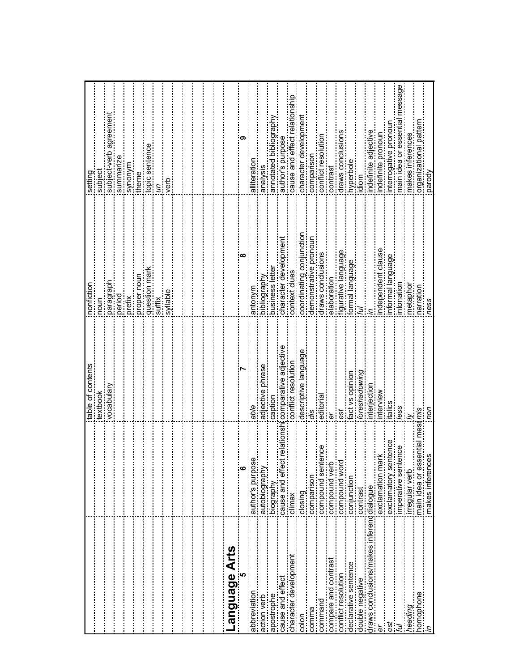|                                                                            |                                                                           | table of contents     | nonfiction               | setting                         |
|----------------------------------------------------------------------------|---------------------------------------------------------------------------|-----------------------|--------------------------|---------------------------------|
|                                                                            |                                                                           | textbook              | $\frac{1}{2}$            | subject                         |
|                                                                            |                                                                           | vocabulary            | paragraph                | agreemen<br>subject-verb        |
|                                                                            |                                                                           |                       | period                   | summarize                       |
|                                                                            |                                                                           |                       | prefix                   | a kuouks                        |
|                                                                            |                                                                           |                       | proper nour              | theme                           |
|                                                                            |                                                                           |                       | question mar             | topic sentence                  |
|                                                                            |                                                                           |                       | suffix                   | S                               |
|                                                                            |                                                                           |                       | syllable                 | verb                            |
|                                                                            |                                                                           |                       |                          |                                 |
|                                                                            |                                                                           |                       |                          |                                 |
|                                                                            |                                                                           |                       |                          |                                 |
|                                                                            |                                                                           |                       |                          |                                 |
|                                                                            |                                                                           |                       |                          |                                 |
| Language Arts                                                              |                                                                           |                       |                          |                                 |
|                                                                            | $\begin{array}{c c} \hline \rule{0pt}{2ex} & \rule{0pt}{2ex} \end{array}$ |                       | œ                        | ຕ                               |
| abbreviation                                                               | Φ<br>author's purpos                                                      | able                  | antonym                  | alliteration                    |
| action verb                                                                | autobiography                                                             | adjective phrase      | bibliography             | analysis                        |
| apostrophe                                                                 | biography                                                                 | caption               | business lette           | annotated bibliography          |
| cause and effect                                                           | cause and effect relations<br>climax                                      | comparative adjective | character developmer     | author's purpose                |
| character development                                                      |                                                                           | conflict resolution   | context clues            | cause and effect relations      |
| colon                                                                      | closing                                                                   | descriptive languag   | coordinating conjunction | character developmer            |
| comma                                                                      | comparison                                                                | dis                   | demonstrative pronour    | comparisor                      |
|                                                                            | ence<br><br>compound sent                                                 | editoria              | draws conclusions        | conflict resolution             |
| compare and contrast                                                       | compound verb                                                             | ρr                    | elaboration              | contrast                        |
| conflict resolution                                                        | compound word                                                             | est                   | figurative language      | draws conclusions               |
| declarative sentence                                                       | conjunction                                                               | fact vs opinion       | formal language          | hyperbole                       |
| double negative                                                            | contrast                                                                  | foreshadowing         |                          | aiol<br>B                       |
| draws conclusions/makes inferencidialogue                                  |                                                                           | interjectior          |                          | ndefinite adjective             |
| p                                                                          | exclamation mark                                                          | interview             | ndependent clause        | ndefinite pronoun               |
| ē                                                                          | exclamatory sentence                                                      | italics               | nformal language         | nterrogative pronour            |
|                                                                            | imperative sentence                                                       | less                  | intonation               | essage<br>main idea or essentia |
| heading                                                                    | irregular verb                                                            |                       | metaphoi                 | makes inferences                |
| $\begin{array}{c}\n  \text{homophone} \\  \hline\n \text{in}\n\end{array}$ | messmis<br>main idea or essential                                         |                       | narratior                | organizational patt             |
|                                                                            | makes inferences                                                          | sou                   | ness                     | parody                          |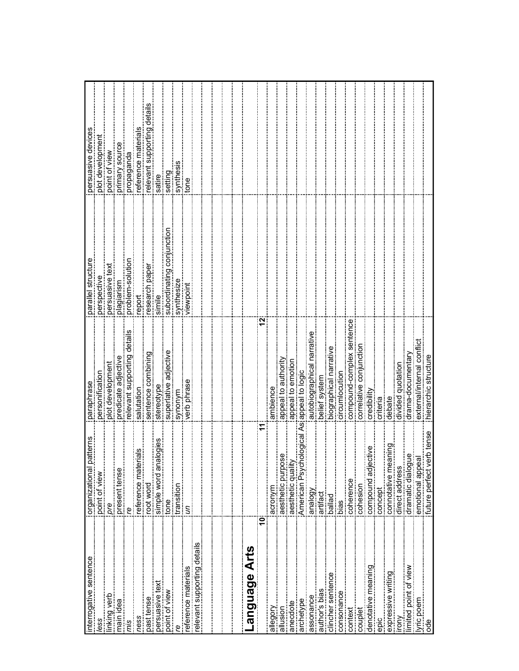| nterrogative sentence       | patterns<br>iorganizational<br>ipoint of view                            | paraphrase                    | parallel structure        | persuasive devices        |
|-----------------------------|--------------------------------------------------------------------------|-------------------------------|---------------------------|---------------------------|
| ess                         |                                                                          | personification               | perspective               | plot development          |
| inking verb                 | pre                                                                      | plot developmen               | bersuasive tex            | point of view             |
| nain idea                   | present tense                                                            | predicate adjective           | plagiarism                | primary source            |
| mis                         | g                                                                        | relevant supporting details   | problem-solution          | puebedoic                 |
| ness                        | reference materials                                                      | salutation                    | report                    | eference materials        |
| past tense                  | root word                                                                | sentence combining            | esearch paper             | elevant supporting detail |
| persuasive text             | alogies<br>simple word an                                                | stereotype                    | simile                    | satire                    |
| point of view               | tone                                                                     | superlative adjective         | subordinating conjunction | setting                   |
| ഉ                           | transition                                                               | synonym                       | synthesize                | synthesi                  |
| reference materials         |                                                                          | verb phrase                   | viewpoint                 | tone                      |
| relevant supporting details |                                                                          |                               |                           |                           |
|                             |                                                                          |                               |                           |                           |
|                             |                                                                          |                               |                           |                           |
|                             |                                                                          |                               |                           |                           |
|                             |                                                                          |                               |                           |                           |
| Language Arts               | <u> </u><br> -<br> -                                                     |                               |                           |                           |
| ľ                           | ë                                                                        |                               | 12                        |                           |
| Nooballe                    | acronym                                                                  | ambience                      |                           |                           |
| allusion                    | aesthetic purpose                                                        | appeal to authority           |                           |                           |
| anecdote                    | aesthetic qualit                                                         | appeal to emotion             |                           |                           |
| archetype                   | American Psychological                                                   | siappeal to logic             |                           |                           |
| assonance                   | analogy                                                                  | narrative<br>autobiographical |                           |                           |
| author's bias               | artifact                                                                 | belief system                 |                           |                           |
| clincher sentence           | ballad                                                                   | biographical narrative        |                           |                           |
| consonance                  | bias                                                                     | circumlocution                |                           |                           |
| context                     | coherence                                                                | compound-complex sentence     |                           |                           |
| couplet                     | cohesion                                                                 | correlative conjunction       |                           |                           |
| denotative meaning          | ective                                                                   | credibility                   |                           |                           |
| epic                        | icompound adje<br>concept<br>concept                                     | criteria                      |                           |                           |
| Expressive writing          | <b>Buiue</b><br>connotative me                                           | debate                        |                           |                           |
| irony                       | direct address                                                           | divided quotation             |                           |                           |
|                             |                                                                          | drama-documentary             |                           |                           |
| lyric poem<br> ode          | i dramatic dialogue<br>i emotional appeal<br>i tuture perfect verb tense | external/internal conflict    |                           |                           |
|                             |                                                                          | hierarchic structure          |                           |                           |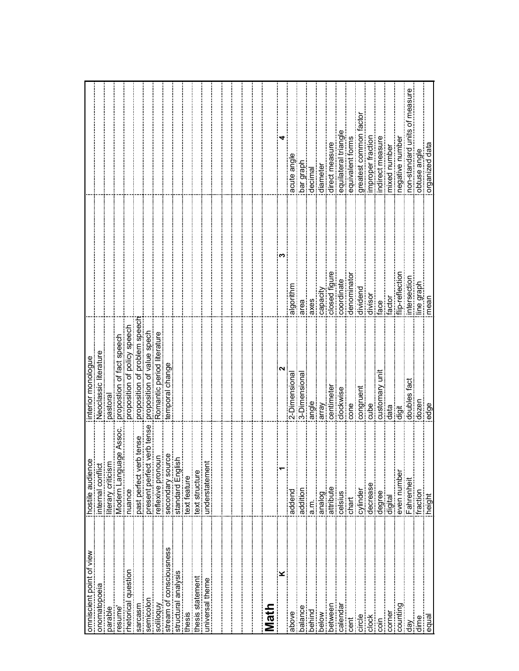| omniscient point of view | hostile audience                        | interior monologue            |                 |                                  |
|--------------------------|-----------------------------------------|-------------------------------|-----------------|----------------------------------|
| onomatopoeia             | internal conflict                       | Neoclassic literature         |                 |                                  |
| parable                  | literary criticism                      | pastoral                      |                 |                                  |
| resume'                  | ige Assoc<br>Wodern Langua              | propostion of fact speech     |                 |                                  |
| rhetorical question      | nuance                                  | proposition of policy speech  |                 |                                  |
| sarcasm                  | <b>b</b> tense<br>past perfect ver      | proposition of problem speech |                 |                                  |
| semicolon                | verb tense<br><b>Expressent perfect</b> | proposition of value spech    |                 |                                  |
| soliloquy                | reflexive pronoun                       | Romantic period literature    |                 |                                  |
| stream of consciousness  | ဗ္ပ<br>secondary sour                   | emporal change                |                 |                                  |
| structural analysis      | standard English                        |                               |                 |                                  |
| thesis                   | text feature                            |                               |                 |                                  |
| thesis statement         | text structure                          |                               |                 |                                  |
| universal theme          | understatemen                           |                               |                 |                                  |
|                          |                                         |                               |                 |                                  |
|                          |                                         |                               |                 |                                  |
|                          |                                         |                               |                 |                                  |
|                          |                                         |                               |                 |                                  |
|                          |                                         |                               |                 |                                  |
| Math                     |                                         |                               |                 |                                  |
|                          |                                         |                               |                 |                                  |
| above<br>above           | addend                                  | 2-Dimensiona                  | algorithm       | acute angl                       |
| balance                  | addition                                | 3-Dimensiona                  | area            | har graph                        |
|                          | a.n.                                    | angle                         | axes            | decimal                          |
| below                    | analog                                  | array                         | capacity        | diamete                          |
| between                  | attribute                               | centimete                     | closed figure   | direct measure                   |
| calendar<br>cent         |                                         | clockwise                     | coordinate      | equilateral triangl              |
|                          | celsius<br>chart                        | cone                          | denominato      | equivalent forms                 |
| circle                   | cylinder                                | congruent                     | dividend        | racto<br>greatest common         |
| <br> clock<br> coin      | decrease                                | cube                          | divisor         | improper fraction                |
|                          | degree                                  | customary uni                 | face            | ndirect measure                  |
| corner                   | digital                                 | data                          | factor          | mixed number                     |
| counting                 | even numbe                              | jigi                          | flip-reflection | negative numbe                   |
| day                      | Fahrenhei                               | doubles fact                  | ntersection     | measure<br>non-standard units of |
| dime                     | fraction                                | dozen                         | line graph      | obtuse angle                     |
| equal                    | height                                  | edge                          | mean            | organized data                   |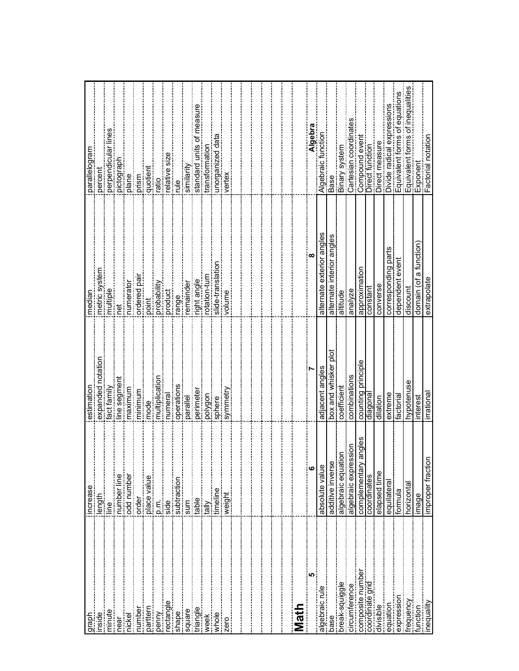| raph                                                          | increase                                                         | estimatior           | median                       |                                        |
|---------------------------------------------------------------|------------------------------------------------------------------|----------------------|------------------------------|----------------------------------------|
| nside                                                         |                                                                  | expanded notation    | metric system                | iparallelogram<br>ipercent<br>ipercent |
| minute                                                        |                                                                  | fact family          | multiple                     | perpendicular                          |
| near                                                          | i length<br>illne<br>illumber line<br>icod number<br>icod number | line segmen          | <b>per</b>                   | pictograpl                             |
| nickel                                                        |                                                                  | maximum              | numerator                    | plane                                  |
| number<br>number                                              | order                                                            | minimum              | ordered pa                   | prism                                  |
|                                                               | place value                                                      | mode                 | point                        | quotient                               |
| penny                                                         |                                                                  | multiplication       | probability                  | ratio                                  |
| ectangle                                                      | jp.m.<br>Iside                                                   | numeral              | product                      | elative size                           |
|                                                               |                                                                  | operation            | range                        | elp                                    |
|                                                               | isubtraction<br>Isum<br>itable                                   | parallel             | emainder                     | similarity                             |
|                                                               |                                                                  | perimeter            | ight angle                   | standard units of                      |
| square<br>triangle<br>week                                    |                                                                  | polygon              | otation-turn                 | transformation                         |
| whole $\blacksquare$                                          | imeline                                                          | sphere               | slide-translati              | unorganized da                         |
| zero                                                          | weight<br>weight                                                 | symmetr              | volume                       | vertex                                 |
|                                                               |                                                                  |                      |                              |                                        |
|                                                               |                                                                  |                      |                              |                                        |
|                                                               |                                                                  |                      |                              |                                        |
|                                                               |                                                                  |                      |                              |                                        |
|                                                               |                                                                  |                      |                              |                                        |
|                                                               |                                                                  |                      |                              |                                        |
| Math                                                          |                                                                  |                      |                              |                                        |
| မာ                                                            | ဖ                                                                | 'n                   | $\infty$                     | Algebra                                |
| algebraic rule                                                | absolute value                                                   | adjacent angles      | exterior angles<br>alternate | function<br>Algebraic                  |
| base                                                          | additive inverse                                                 | box and whisker plot | alternate interior angles    | Base                                   |
| break-squiggle                                                | algebraic equation                                               | coefficient          | altitude                     | Binary system                          |
| circumference                                                 | algebraic expression                                             | combinations         | analyze                      | Cartesian coordinates                  |
|                                                               | angles<br>complementary                                          | counting principle   | approximation                | Compound ever                          |
|                                                               | coordinates                                                      | diagonal             | constant                     | Direct function                        |
| composite number<br>coordinate grid<br>divisible<br>divisible | elapsed time                                                     | dilation             | converse                     | Direct measure                         |
| lequation                                                     | equilateral                                                      | extreme              | corresponding parts          | Divide radical expressions             |
|                                                               | formula                                                          | factoria             | dependent event              | Equivalent forms of equations          |
| expression<br>frequency<br>function<br>function<br>inequality | horizontal                                                       | hypotenuse           | discount                     | Equivalent forms of inequalities       |
|                                                               | image                                                            | interest             | domain (of a function        | Exponent                               |
|                                                               | improper fractio                                                 | irrationa            | extrapolate                  | Factorial notation                     |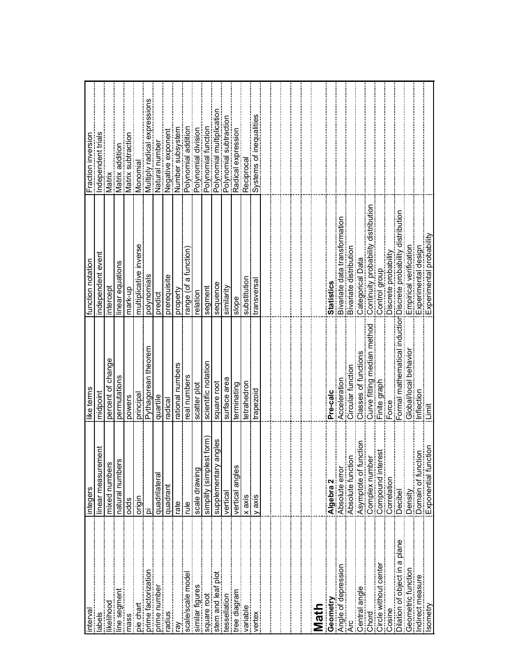| interval                          | integers                                      | like terms                  | function notation                                               | Fraction inversion          |
|-----------------------------------|-----------------------------------------------|-----------------------------|-----------------------------------------------------------------|-----------------------------|
|                                   | ment<br>inear measure                         | midpoint                    | independent event                                               | Independent trials          |
| kelihood                          | mixed numbers                                 | percent of change           | ntercept                                                        | Matrix                      |
| ine segment                       | <b>S</b><br>natural number                    | permutations                | inear equations                                                 | Matrix addition             |
| mass                              | odds                                          | powers                      | mark-up                                                         | Matrix subtraction          |
| pie chart                         | origin                                        | principal                   | multiplicative inverse                                          | Monomial                    |
| prime factorization               | ō                                             | Pythagorean theorem         | polynomials                                                     | Multiply radical expression |
| prime number                      | quadrilatera                                  | quartile                    | predict                                                         | Natural number              |
| snipe                             | quadrant                                      | radical                     | prerequisite                                                    | Negative exponent           |
| řΞ                                | rate                                          | rational numbers            | property                                                        | Number subsystem            |
| scale/scale model                 | ₫                                             | real numbers                | range (of a function)                                           | Polynomial addition         |
| similar figures                   | scale drawing                                 | scatter plot                | relation                                                        | Polynomial division         |
|                                   | simplify (simplest form)                      | scientific notation         | segment                                                         | Polynomial function         |
| square root<br>stem and leaf plot | angles<br>supplementary                       | square root                 | sequence                                                        | Polynomial multiplicatio    |
| iessellation                      | vertical                                      | surface area                | similarity                                                      | Polynomial subtraction      |
|                                   | vertical angles                               | terminating                 | slope                                                           | Radical expression          |
| variable                          | $x$ axis                                      | tetrahedron                 | substitution                                                    | Reciprocal                  |
| vertex                            | y axis                                        | trapezoid                   | transversa                                                      | Systems of inequalities     |
|                                   |                                               |                             |                                                                 |                             |
|                                   |                                               |                             |                                                                 |                             |
|                                   |                                               |                             |                                                                 |                             |
|                                   |                                               |                             |                                                                 |                             |
|                                   |                                               |                             |                                                                 |                             |
| Math                              |                                               |                             |                                                                 |                             |
| Geometry                          | Algebra 2                                     | Pre-calc                    | <b>Statistics</b>                                               |                             |
| Angle of depression               | Absolute error                                | Acceleration                | Bivariate data transformation                                   |                             |
| Arc                               | 5<br>Absolute functi                          | Circular function           | Bivariate distribution                                          |                             |
| Central angle                     | unction<br>Asymptote of fu                    | Classes of functions        | Categorical Data                                                |                             |
| Chord                             | Complex number                                | Curve fitting median method | Continuity probability distribution                             |                             |
|                                   |                                               | Finite graph                | Control group                                                   |                             |
| Cosine                            | i Compound interest<br>Correlation<br>Decibel | Force                       | Discrete probability                                            |                             |
| Dilation of object in a plane     |                                               |                             | Formal mathematical inductioriDiscrete probability distribution |                             |
| Geometric function                | Density<br>Domain of function                 | Global/local behavior       | Empirical verification                                          |                             |
| Indirect measure                  |                                               | Inflection                  | Experimental design                                             |                             |
| Isometry                          | nction<br>Exponential fur                     | Limit                       | Experimental probabil                                           |                             |